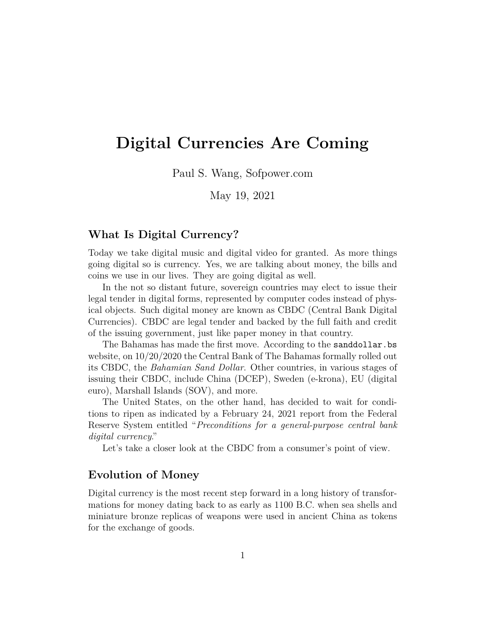# **Digital Currencies Are Coming**

Paul S. Wang, Sofpower.com

May 19, 2021

## **What Is Digital Currency?**

Today we take digital music and digital video for granted. As more things going digital so is currency. Yes, we are talking about money, the bills and coins we use in our lives. They are going digital as well.

In the not so distant future, sovereign countries may elect to issue their legal tender in digital forms, represented by computer codes instead of physical objects. Such digital money are known as CBDC (Central Bank Digital Currencies). CBDC are legal tender and backed by the full faith and credit of the issuing government, just like paper money in that country.

The Bahamas has made the first move. According to the sanddollar.bs website, on 10/20/2020 the Central Bank of The Bahamas formally rolled out its CBDC, the *Bahamian Sand Dollar*. Other countries, in various stages of issuing their CBDC, include China (DCEP), Sweden (e-krona), EU (digital euro), Marshall Islands (SOV), and more.

The United States, on the other hand, has decided to wait for conditions to ripen as indicated by a February 24, 2021 report from the Federal Reserve System entitled "*Preconditions for a general-purpose central bank digital currency*."

Let's take a closer look at the CBDC from a consumer's point of view.

### **Evolution of Money**

Digital currency is the most recent step forward in a long history of transformations for money dating back to as early as 1100 B.C. when sea shells and miniature bronze replicas of weapons were used in ancient China as tokens for the exchange of goods.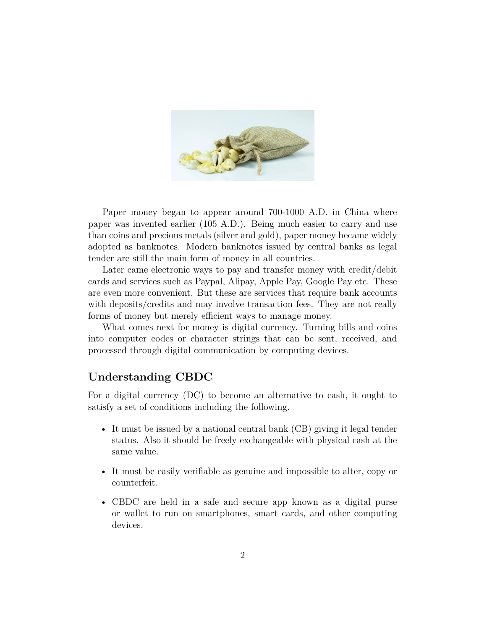

Paper money began to appear around 700-1000 A.D. in China where paper was invented earlier (105 A.D.). Being much easier to carry and use than coins and precious metals (silver and gold), paper money became widely adopted as banknotes. Modern banknotes issued by central banks as legal tender are still the main form of money in all countries.

Later came electronic ways to pay and transfer money with credit/debit cards and services such as Paypal, Alipay, Apple Pay, Google Pay etc. These are even more convenient. But these are services that require bank accounts with deposits/credits and may involve transaction fees. They are not really forms of money but merely efficient ways to manage money.

What comes next for money is digital currency. Turning bills and coins into computer codes or character strings that can be sent, received, and processed through digital communication by computing devices.

# **Understanding CBDC**

For a digital currency (DC) to become an alternative to cash, it ought to satisfy a set of conditions including the following.

- It must be issued by a national central bank (CB) giving it legal tender status. Also it should be freely exchangeable with physical cash at the same value.
- It must be easily verifiable as genuine and impossible to alter, copy or counterfeit.
- CBDC are held in a safe and secure app known as a digital purse or wallet to run on smartphones, smart cards, and other computing devices.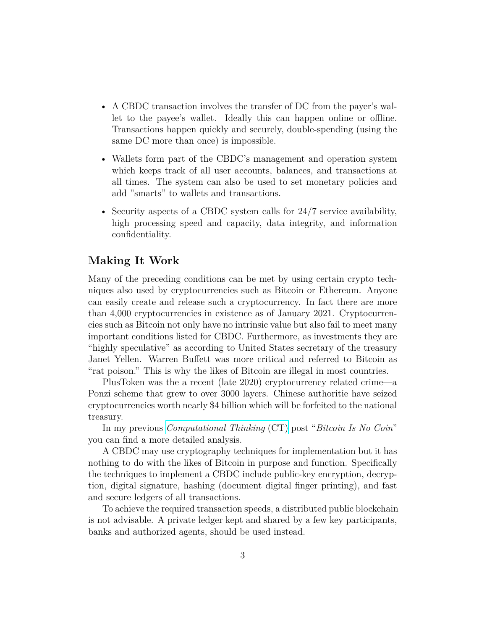- A CBDC transaction involves the transfer of DC from the payer's wallet to the payee's wallet. Ideally this can happen online or offline. Transactions happen quickly and securely, double-spending (using the same DC more than once) is impossible.
- Wallets form part of the CBDC's management and operation system which keeps track of all user accounts, balances, and transactions at all times. The system can also be used to set monetary policies and add "smarts" to wallets and transactions.
- Security aspects of a CBDC system calls for 24/7 service availability, high processing speed and capacity, data integrity, and information confidentiality.

# **Making It Work**

Many of the preceding conditions can be met by using certain crypto techniques also used by cryptocurrencies such as Bitcoin or Ethereum. Anyone can easily create and release such a cryptocurrency. In fact there are more than 4,000 cryptocurrencies in existence as of January 2021. Cryptocurrencies such as Bitcoin not only have no intrinsic value but also fail to meet many important conditions listed for CBDC. Furthermore, as investments they are "highly speculative" as according to United States secretary of the treasury Janet Yellen. Warren Buffett was more critical and referred to Bitcoin as "rat poison." This is why the likes of Bitcoin are illegal in most countries.

PlusToken was the a recent (late 2020) cryptocurrency related crime—a Ponzi scheme that grew to over 3000 layers. Chinese authoritie have seized cryptocurrencies worth nearly \$4 billion which will be forfeited to the national treasury.

In my previous *[Computational Thinking](https://computize.org/ctblog)* (CT) post "*Bitcoin Is No Coin*" you can find a more detailed analysis.

A CBDC may use cryptography techniques for implementation but it has nothing to do with the likes of Bitcoin in purpose and function. Specifically the techniques to implement a CBDC include public-key encryption, decryption, digital signature, hashing (document digital finger printing), and fast and secure ledgers of all transactions.

To achieve the required transaction speeds, a distributed public blockchain is not advisable. A private ledger kept and shared by a few key participants, banks and authorized agents, should be used instead.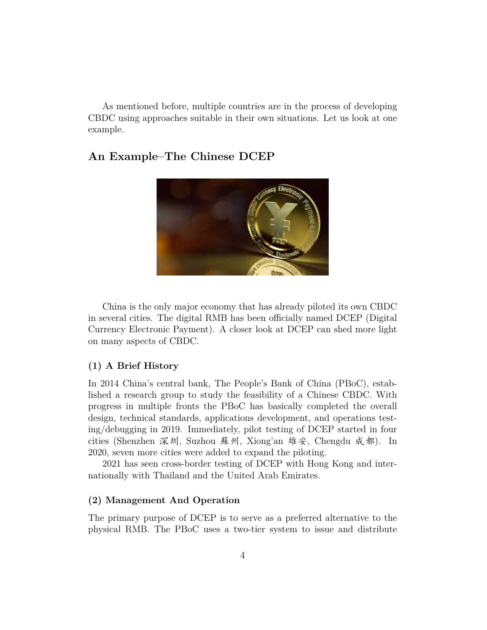As mentioned before, multiple countries are in the process of developing CBDC using approaches suitable in their own situations. Let us look at one example.

# **An Example–The Chinese DCEP**



China is the only major economy that has already piloted its own CBDC in several cities. The digital RMB has been officially named DCEP (Digital Currency Electronic Payment). A closer look at DCEP can shed more light on many aspects of CBDC.

#### **(1) A Brief History**

In 2014 China's central bank, The People's Bank of China (PBoC), established a research group to study the feasibility of a Chinese CBDC. With progress in multiple fronts the PBoC has basically completed the overall design, technical standards, applications development, and operations testing/debugging in 2019. Immediately, pilot testing of DCEP started in four cities (Shenzhen 深圳, Suzhou 蘇州, Xiong'an 雄安, Chengdu 成都). In 2020, seven more cities were added to expand the piloting.

2021 has seen cross-border testing of DCEP with Hong Kong and internationally with Thailand and the United Arab Emirates.

#### **(2) Management And Operation**

The primary purpose of DCEP is to serve as a preferred alternative to the physical RMB. The PBoC uses a two-tier system to issue and distribute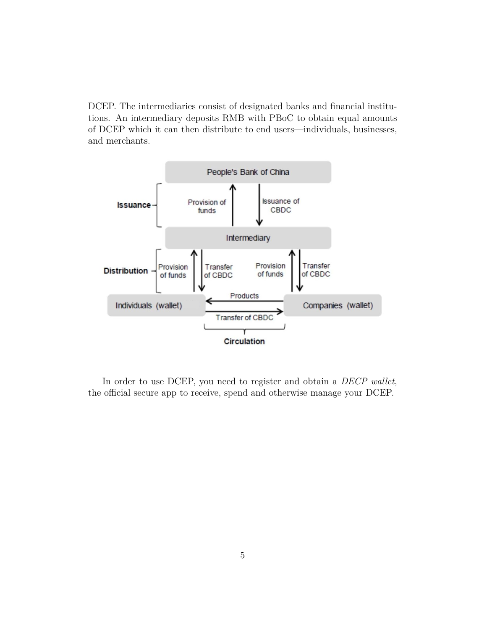DCEP. The intermediaries consist of designated banks and financial institutions. An intermediary deposits RMB with PBoC to obtain equal amounts of DCEP which it can then distribute to end users—individuals, businesses, and merchants.



In order to use DCEP, you need to register and obtain a *DECP wallet*, the official secure app to receive, spend and otherwise manage your DCEP.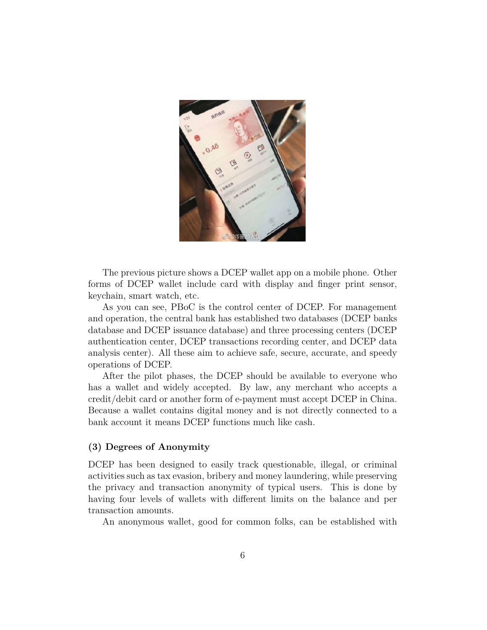

The previous picture shows a DCEP wallet app on a mobile phone. Other forms of DCEP wallet include card with display and finger print sensor, keychain, smart watch, etc.

As you can see, PBoC is the control center of DCEP. For management and operation, the central bank has established two databases (DCEP banks database and DCEP issuance database) and three processing centers (DCEP authentication center, DCEP transactions recording center, and DCEP data analysis center). All these aim to achieve safe, secure, accurate, and speedy operations of DCEP.

After the pilot phases, the DCEP should be available to everyone who has a wallet and widely accepted. By law, any merchant who accepts a credit/debit card or another form of e-payment must accept DCEP in China. Because a wallet contains digital money and is not directly connected to a bank account it means DCEP functions much like cash.

#### **(3) Degrees of Anonymity**

DCEP has been designed to easily track questionable, illegal, or criminal activities such as tax evasion, bribery and money laundering, while preserving the privacy and transaction anonymity of typical users. This is done by having four levels of wallets with different limits on the balance and per transaction amounts.

An anonymous wallet, good for common folks, can be established with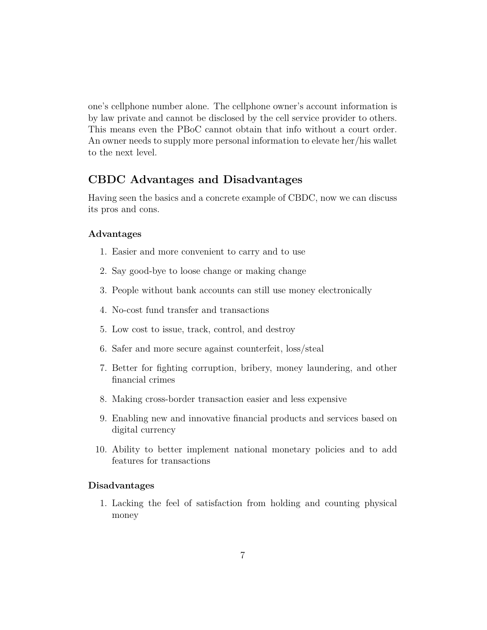one's cellphone number alone. The cellphone owner's account information is by law private and cannot be disclosed by the cell service provider to others. This means even the PBoC cannot obtain that info without a court order. An owner needs to supply more personal information to elevate her/his wallet to the next level.

## **CBDC Advantages and Disadvantages**

Having seen the basics and a concrete example of CBDC, now we can discuss its pros and cons.

#### **Advantages**

- 1. Easier and more convenient to carry and to use
- 2. Say good-bye to loose change or making change
- 3. People without bank accounts can still use money electronically
- 4. No-cost fund transfer and transactions
- 5. Low cost to issue, track, control, and destroy
- 6. Safer and more secure against counterfeit, loss/steal
- 7. Better for fighting corruption, bribery, money laundering, and other financial crimes
- 8. Making cross-border transaction easier and less expensive
- 9. Enabling new and innovative financial products and services based on digital currency
- 10. Ability to better implement national monetary policies and to add features for transactions

#### **Disadvantages**

1. Lacking the feel of satisfaction from holding and counting physical money